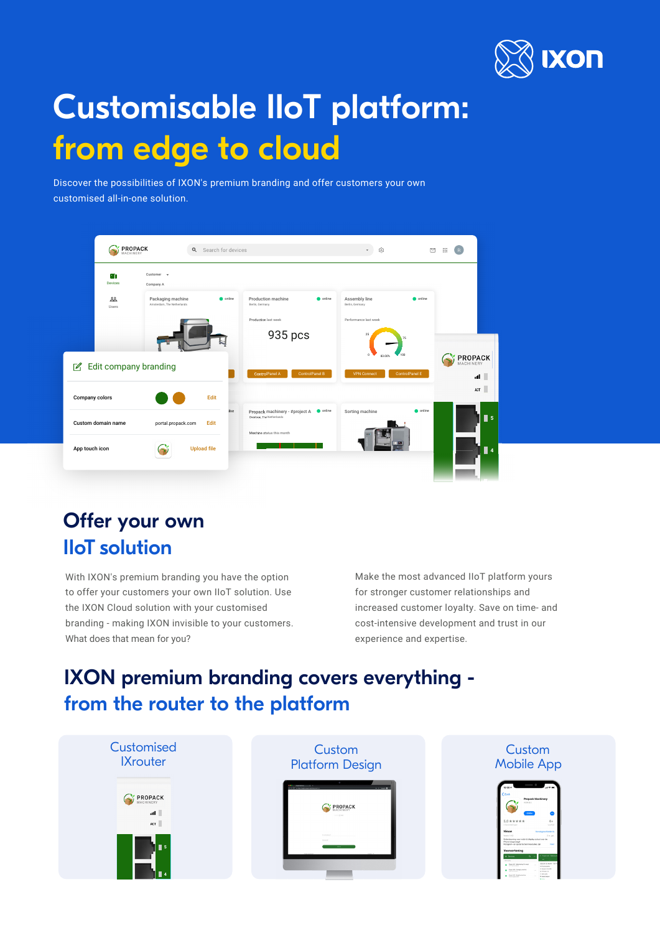

# Customisable IIoT platform: from edge to cloud

Discover the possibilities of IXON's premium branding and offer customers your own customised all-in-one solution.

| $\begin{array}{ll}\n\textbf{PROPACK} \\ \textbf{MACHINERY}\n\end{array}$ | Q Search for devices                            |         |                                                             |                | 0                                | $\quad \, \boxtimes$ | $\mathbf{H}$                |
|--------------------------------------------------------------------------|-------------------------------------------------|---------|-------------------------------------------------------------|----------------|----------------------------------|----------------------|-----------------------------|
| ٠n<br>Devices                                                            | Customer -<br>Company A                         |         |                                                             |                |                                  |                      |                             |
| 品<br>Users                                                               | Packaging machine<br>Amsterdam, The Netherlands | conline | Production machine<br>Berlin, Germany                       | conline        | Assembly line<br>Berlin, Germany | conline              |                             |
|                                                                          |                                                 |         | Production last week                                        |                | Performance last week            |                      |                             |
|                                                                          |                                                 |         | 935 pcs                                                     |                | 25                               | 75                   |                             |
| Edit company branding                                                    |                                                 |         |                                                             |                | 83.001                           |                      | <b>PROPACK</b><br>MACHINERY |
|                                                                          |                                                 |         | ControlPanel A                                              | ControlPanel B | <b>VPN Connect</b>               | ControlPanel E       | all II                      |
| Company colors                                                           | Edit                                            |         |                                                             |                |                                  |                      | ACT                         |
| Custom domain name                                                       | Edit<br>portal.propack.com                      | line    | Propack machinery - #project A<br>Overloon, The Netherlands | conline        | Sorting machine                  | conline              | $\blacksquare$ 5            |
|                                                                          |                                                 |         | Machine status this month                                   |                |                                  |                      |                             |
| App touch icon                                                           | <b>Upload file</b>                              |         |                                                             |                |                                  |                      | $\blacksquare$              |
|                                                                          |                                                 |         |                                                             |                |                                  |                      |                             |

# Offer your own IIoT solution

With IXON's premium branding you have the option to offer your customers your own IIoT solution. Use the IXON Cloud solution with your customised branding - making IXON invisible to your customers. What does that mean for you?

Make the most advanced IIoT platform yours for stronger customer relationships and increased customer loyalty. Save on time- and cost-intensive development and trust in our experience and expertise.

## IXON premium branding covers everything from the router to the platform

| Customised<br><b>IXrouter</b>         | Custom<br><b>Platform Design</b>                                    | Custom<br><b>Mobile App</b>                                                                                                                                                                                                                                                                                                                                                                                                                                                                                         |
|---------------------------------------|---------------------------------------------------------------------|---------------------------------------------------------------------------------------------------------------------------------------------------------------------------------------------------------------------------------------------------------------------------------------------------------------------------------------------------------------------------------------------------------------------------------------------------------------------------------------------------------------------|
| <b>PROPACK</b><br>all <b>I</b><br>ACT | <b>C. A The Room annual Automobile</b><br>PROPACK<br>America 22 mon | $\overline{\phantom{0}}$<br>Propack Machinery<br>DODN BOX<br>œ<br>$4 +$<br>$5.0$ * * * * *<br>Leehild<br><b><i><i><u>AACONTAALOOMA</u></i></i></b>                                                                                                                                                                                                                                                                                                                                                                  |
| $\blacksquare$ 5                      | I materials<br><b>STORY</b>                                         | Nieuw<br><b>Versioneschiede</b><br>ibrale 1.4.2<br>3.01.401<br>Ondersteuning your notch & display cutout your de<br>Phone toesevoesd<br>Rctogram- en opstartschennresoluties zijn<br>Voorvertoning<br>Project MC - Shik<br>Devices<br>benefits.<br>CORPORATION CO<br>- Poster Management<br><b>CONTRACTOR</b><br><b>AT The complete</b><br><b>C. Books 1 Eat 18</b><br>Poster Anapointe<br><b>All America</b> V.C.<br>0-ben etc.<br>Papel #3 Reging to his<br>. Date Argor<br>the property states<br><b>British</b> |